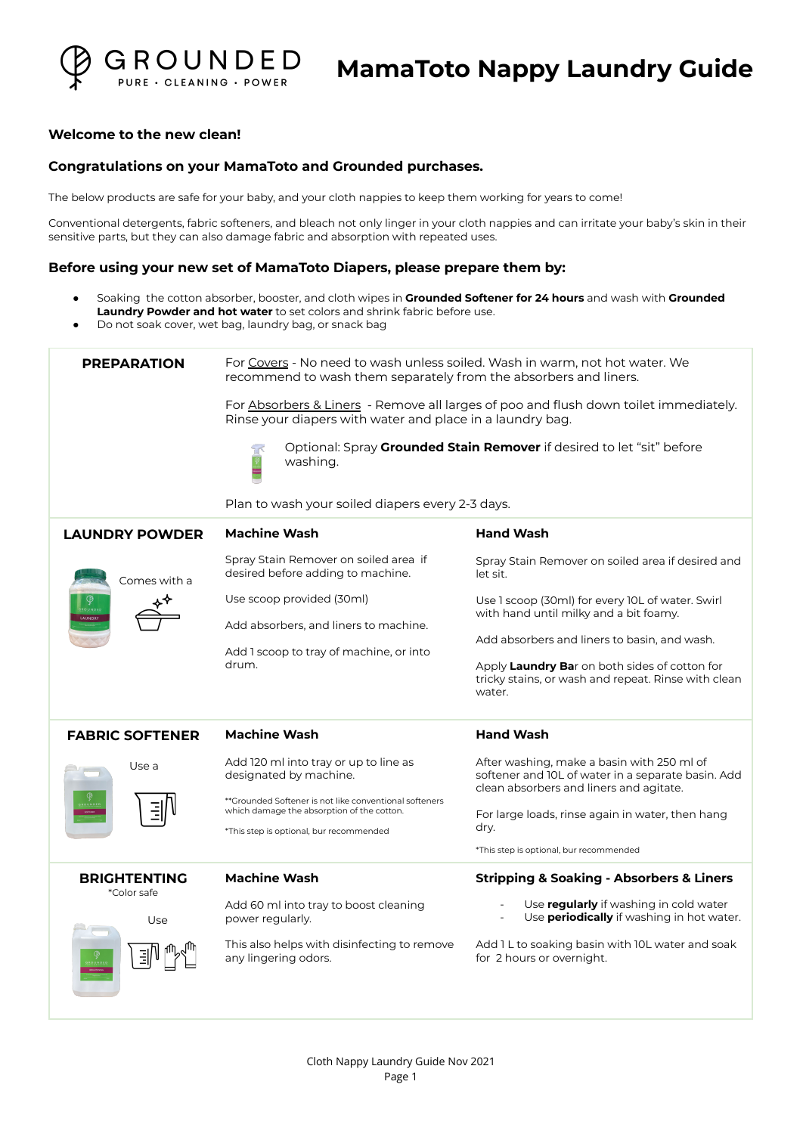

## **Welcome to the new clean!**

## **Congratulations on your MamaToto and Grounded purchases.**

The below products are safe for your baby, and your cloth nappies to keep them working for years to come!

Conventional detergents, fabric softeners, and bleach not only linger in your cloth nappies and can irritate your baby's skin in their sensitive parts, but they can also damage fabric and absorption with repeated uses.

#### **Before using your new set of MamaToto Diapers, please prepare them by:**

- Soaking the cotton absorber, booster, and cloth wipes in **Grounded Softener for 24 hours** and wash with **Grounded Laundry Powder and hot water** to set colors and shrink fabric before use.
- Do not soak cover, wet bag, laundry bag, or snack bag

| <b>PREPARATION</b>                 | For Covers - No need to wash unless soiled. Wash in warm, not hot water. We<br>recommend to wash them separately from the absorbers and liners.<br>For Absorbers & Liners - Remove all larges of poo and flush down toilet immediately.<br>Rinse your diapers with water and place in a laundry bag. |                                                                                                                                             |
|------------------------------------|------------------------------------------------------------------------------------------------------------------------------------------------------------------------------------------------------------------------------------------------------------------------------------------------------|---------------------------------------------------------------------------------------------------------------------------------------------|
|                                    |                                                                                                                                                                                                                                                                                                      |                                                                                                                                             |
|                                    | washing.                                                                                                                                                                                                                                                                                             | Optional: Spray Grounded Stain Remover if desired to let "sit" before                                                                       |
|                                    | Plan to wash your soiled diapers every 2-3 days.                                                                                                                                                                                                                                                     |                                                                                                                                             |
| <b>LAUNDRY POWDER</b>              | <b>Machine Wash</b>                                                                                                                                                                                                                                                                                  | <b>Hand Wash</b>                                                                                                                            |
| Comes with a                       | Spray Stain Remover on soiled area if<br>desired before adding to machine.                                                                                                                                                                                                                           | Spray Stain Remover on soiled area if desired and<br>let sit.                                                                               |
|                                    | Use scoop provided (30ml)                                                                                                                                                                                                                                                                            | Use 1 scoop (30ml) for every 10L of water. Swirl<br>with hand until milky and a bit foamy.                                                  |
|                                    | Add absorbers, and liners to machine.                                                                                                                                                                                                                                                                | Add absorbers and liners to basin, and wash.                                                                                                |
|                                    | Add 1 scoop to tray of machine, or into                                                                                                                                                                                                                                                              |                                                                                                                                             |
|                                    | drum.                                                                                                                                                                                                                                                                                                | Apply Laundry Bar on both sides of cotton for<br>tricky stains, or wash and repeat. Rinse with clean<br>water.                              |
| <b>FABRIC SOFTENER</b>             | <b>Machine Wash</b>                                                                                                                                                                                                                                                                                  | <b>Hand Wash</b>                                                                                                                            |
| Use a                              | Add 120 ml into tray or up to line as<br>designated by machine.                                                                                                                                                                                                                                      | After washing, make a basin with 250 ml of<br>softener and IOL of water in a separate basin. Add<br>clean absorbers and liners and agitate. |
|                                    | **Grounded Softener is not like conventional softeners<br>which damage the absorption of the cotton.                                                                                                                                                                                                 |                                                                                                                                             |
|                                    | *This step is optional, bur recommended                                                                                                                                                                                                                                                              | For large loads, rinse again in water, then hang<br>dry.                                                                                    |
|                                    |                                                                                                                                                                                                                                                                                                      | *This step is optional, bur recommended                                                                                                     |
| <b>BRIGHTENTING</b><br>*Color safe | <b>Machine Wash</b>                                                                                                                                                                                                                                                                                  | <b>Stripping &amp; Soaking - Absorbers &amp; Liners</b>                                                                                     |
| Use                                | Add 60 ml into tray to boost cleaning<br>power regularly.                                                                                                                                                                                                                                            | Use <b>regularly</b> if washing in cold water<br>Use <b>periodically</b> if washing in hot water.                                           |
|                                    | This also helps with disinfecting to remove<br>any lingering odors.                                                                                                                                                                                                                                  | Add 1 L to soaking basin with 10L water and soak<br>for 2 hours or overnight.                                                               |
|                                    |                                                                                                                                                                                                                                                                                                      |                                                                                                                                             |